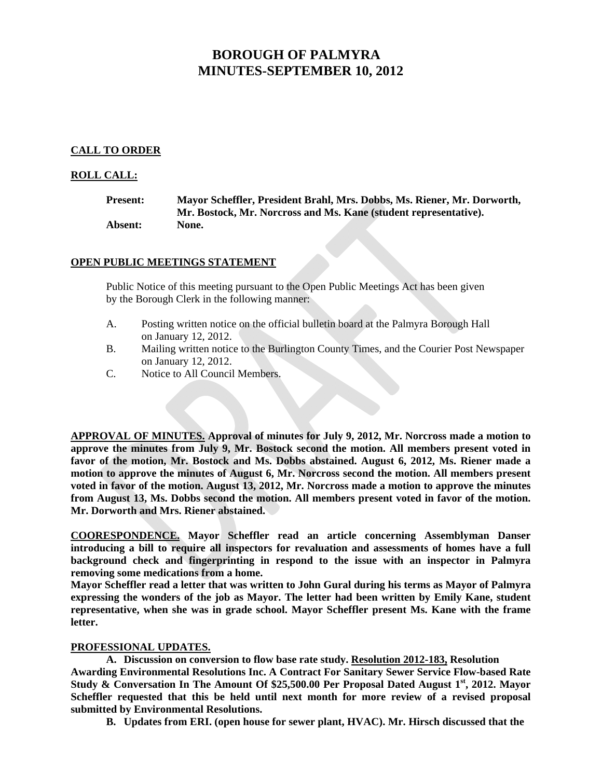# **BOROUGH OF PALMYRA MINUTES-SEPTEMBER 10, 2012**

# **CALL TO ORDER**

# **ROLL CALL:**

| <b>Present:</b> | Mayor Scheffler, President Brahl, Mrs. Dobbs, Ms. Riener, Mr. Dorworth, |
|-----------------|-------------------------------------------------------------------------|
|                 | Mr. Bostock, Mr. Norcross and Ms. Kane (student representative).        |
| Absent:         | None.                                                                   |

# **OPEN PUBLIC MEETINGS STATEMENT**

 Public Notice of this meeting pursuant to the Open Public Meetings Act has been given by the Borough Clerk in the following manner:

- A. Posting written notice on the official bulletin board at the Palmyra Borough Hall on January 12, 2012.
- B. Mailing written notice to the Burlington County Times, and the Courier Post Newspaper on January 12, 2012.
- C. Notice to All Council Members.

**APPROVAL OF MINUTES. Approval of minutes for July 9, 2012, Mr. Norcross made a motion to approve the minutes from July 9, Mr. Bostock second the motion. All members present voted in favor of the motion, Mr. Bostock and Ms. Dobbs abstained. August 6, 2012, Ms. Riener made a motion to approve the minutes of August 6, Mr. Norcross second the motion. All members present voted in favor of the motion. August 13, 2012, Mr. Norcross made a motion to approve the minutes from August 13, Ms. Dobbs second the motion. All members present voted in favor of the motion. Mr. Dorworth and Mrs. Riener abstained.** 

**COORESPONDENCE. Mayor Scheffler read an article concerning Assemblyman Danser introducing a bill to require all inspectors for revaluation and assessments of homes have a full background check and fingerprinting in respond to the issue with an inspector in Palmyra removing some medications from a home.** 

**Mayor Scheffler read a letter that was written to John Gural during his terms as Mayor of Palmyra expressing the wonders of the job as Mayor. The letter had been written by Emily Kane, student representative, when she was in grade school. Mayor Scheffler present Ms. Kane with the frame letter.** 

## **PROFESSIONAL UPDATES.**

**A. Discussion on conversion to flow base rate study. Resolution 2012-183, Resolution Awarding Environmental Resolutions Inc. A Contract For Sanitary Sewer Service Flow-based Rate Study & Conversation In The Amount Of \$25,500.00 Per Proposal Dated August 1st, 2012. Mayor Scheffler requested that this be held until next month for more review of a revised proposal submitted by Environmental Resolutions.** 

**B. Updates from ERI. (open house for sewer plant, HVAC). Mr. Hirsch discussed that the**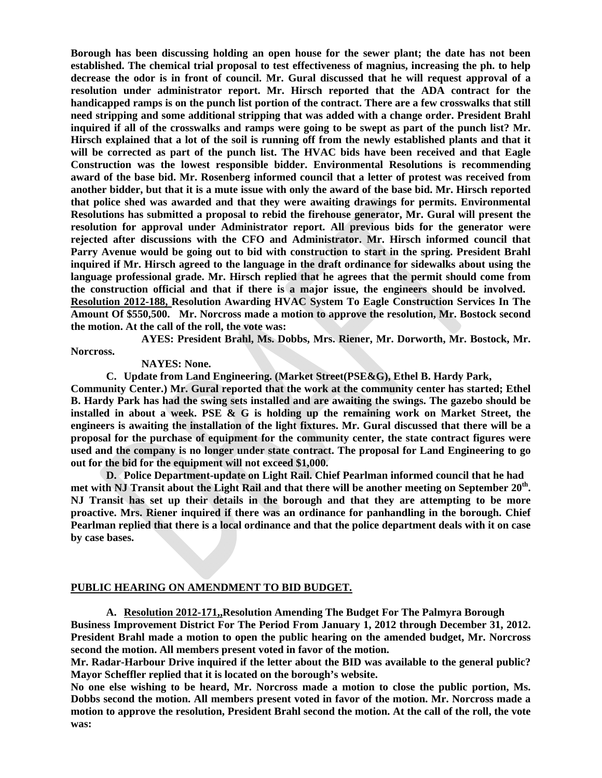**Borough has been discussing holding an open house for the sewer plant; the date has not been established. The chemical trial proposal to test effectiveness of magnius, increasing the ph. to help decrease the odor is in front of council. Mr. Gural discussed that he will request approval of a resolution under administrator report. Mr. Hirsch reported that the ADA contract for the handicapped ramps is on the punch list portion of the contract. There are a few crosswalks that still need stripping and some additional stripping that was added with a change order. President Brahl inquired if all of the crosswalks and ramps were going to be swept as part of the punch list? Mr. Hirsch explained that a lot of the soil is running off from the newly established plants and that it will be corrected as part of the punch list. The HVAC bids have been received and that Eagle Construction was the lowest responsible bidder. Environmental Resolutions is recommending award of the base bid. Mr. Rosenberg informed council that a letter of protest was received from another bidder, but that it is a mute issue with only the award of the base bid. Mr. Hirsch reported that police shed was awarded and that they were awaiting drawings for permits. Environmental Resolutions has submitted a proposal to rebid the firehouse generator, Mr. Gural will present the resolution for approval under Administrator report. All previous bids for the generator were rejected after discussions with the CFO and Administrator. Mr. Hirsch informed council that Parry Avenue would be going out to bid with construction to start in the spring. President Brahl inquired if Mr. Hirsch agreed to the language in the draft ordinance for sidewalks about using the language professional grade. Mr. Hirsch replied that he agrees that the permit should come from the construction official and that if there is a major issue, the engineers should be involved. Resolution 2012-188, Resolution Awarding HVAC System To Eagle Construction Services In The Amount Of \$550,500. Mr. Norcross made a motion to approve the resolution, Mr. Bostock second the motion. At the call of the roll, the vote was:** 

 **AYES: President Brahl, Ms. Dobbs, Mrs. Riener, Mr. Dorworth, Mr. Bostock, Mr.** 

**Norcross.** 

 **NAYES: None.** 

**C. Update from Land Engineering. (Market Street(PSE&G), Ethel B. Hardy Park,** 

**Community Center.) Mr. Gural reported that the work at the community center has started; Ethel B. Hardy Park has had the swing sets installed and are awaiting the swings. The gazebo should be installed in about a week. PSE & G is holding up the remaining work on Market Street, the engineers is awaiting the installation of the light fixtures. Mr. Gural discussed that there will be a proposal for the purchase of equipment for the community center, the state contract figures were used and the company is no longer under state contract. The proposal for Land Engineering to go out for the bid for the equipment will not exceed \$1,000.** 

**D. Police Department-update on Light Rail. Chief Pearlman informed council that he had**  met with NJ Transit about the Light Rail and that there will be another meeting on September 20<sup>th</sup>. **NJ Transit has set up their details in the borough and that they are attempting to be more proactive. Mrs. Riener inquired if there was an ordinance for panhandling in the borough. Chief Pearlman replied that there is a local ordinance and that the police department deals with it on case by case bases.** 

## **PUBLIC HEARING ON AMENDMENT TO BID BUDGET.**

**A. Resolution 2012-171,,Resolution Amending The Budget For The Palmyra Borough** 

**Business Improvement District For The Period From January 1, 2012 through December 31, 2012. President Brahl made a motion to open the public hearing on the amended budget, Mr. Norcross second the motion. All members present voted in favor of the motion.** 

**Mr. Radar-Harbour Drive inquired if the letter about the BID was available to the general public? Mayor Scheffler replied that it is located on the borough's website.** 

**No one else wishing to be heard, Mr. Norcross made a motion to close the public portion, Ms. Dobbs second the motion. All members present voted in favor of the motion. Mr. Norcross made a motion to approve the resolution, President Brahl second the motion. At the call of the roll, the vote was:**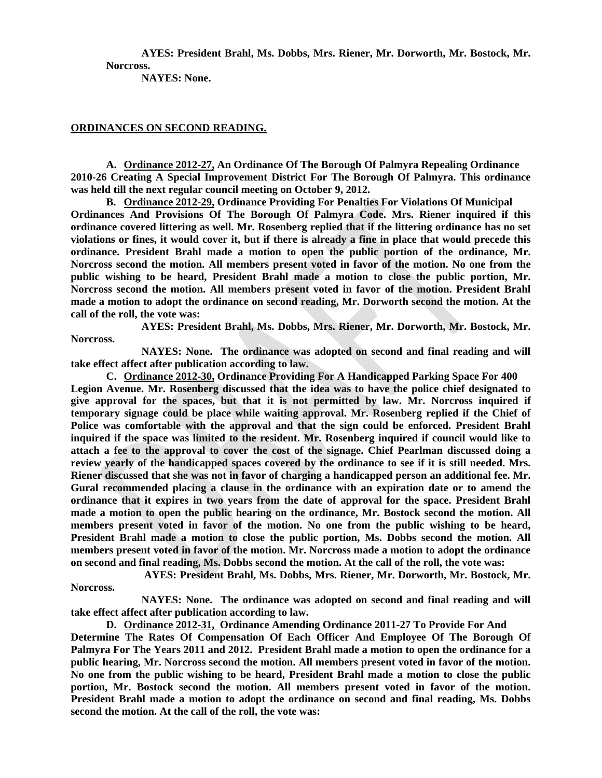**AYES: President Brahl, Ms. Dobbs, Mrs. Riener, Mr. Dorworth, Mr. Bostock, Mr. Norcross.** 

 **NAYES: None.** 

## **ORDINANCES ON SECOND READING.**

**A. Ordinance 2012-27, An Ordinance Of The Borough Of Palmyra Repealing Ordinance 2010-26 Creating A Special Improvement District For The Borough Of Palmyra. This ordinance was held till the next regular council meeting on October 9, 2012.** 

**B. Ordinance 2012-29, Ordinance Providing For Penalties For Violations Of Municipal Ordinances And Provisions Of The Borough Of Palmyra Code. Mrs. Riener inquired if this ordinance covered littering as well. Mr. Rosenberg replied that if the littering ordinance has no set violations or fines, it would cover it, but if there is already a fine in place that would precede this ordinance. President Brahl made a motion to open the public portion of the ordinance, Mr. Norcross second the motion. All members present voted in favor of the motion. No one from the public wishing to be heard, President Brahl made a motion to close the public portion, Mr. Norcross second the motion. All members present voted in favor of the motion. President Brahl made a motion to adopt the ordinance on second reading, Mr. Dorworth second the motion. At the call of the roll, the vote was:** 

 **AYES: President Brahl, Ms. Dobbs, Mrs. Riener, Mr. Dorworth, Mr. Bostock, Mr. Norcross.** 

 **NAYES: None. The ordinance was adopted on second and final reading and will take effect affect after publication according to law.** 

**C. Ordinance 2012-30, Ordinance Providing For A Handicapped Parking Space For 400 Legion Avenue. Mr. Rosenberg discussed that the idea was to have the police chief designated to give approval for the spaces, but that it is not permitted by law. Mr. Norcross inquired if temporary signage could be place while waiting approval. Mr. Rosenberg replied if the Chief of Police was comfortable with the approval and that the sign could be enforced. President Brahl inquired if the space was limited to the resident. Mr. Rosenberg inquired if council would like to attach a fee to the approval to cover the cost of the signage. Chief Pearlman discussed doing a review yearly of the handicapped spaces covered by the ordinance to see if it is still needed. Mrs. Riener discussed that she was not in favor of charging a handicapped person an additional fee. Mr. Gural recommended placing a clause in the ordinance with an expiration date or to amend the ordinance that it expires in two years from the date of approval for the space. President Brahl made a motion to open the public hearing on the ordinance, Mr. Bostock second the motion. All members present voted in favor of the motion. No one from the public wishing to be heard, President Brahl made a motion to close the public portion, Ms. Dobbs second the motion. All members present voted in favor of the motion. Mr. Norcross made a motion to adopt the ordinance on second and final reading, Ms. Dobbs second the motion. At the call of the roll, the vote was:** 

 **AYES: President Brahl, Ms. Dobbs, Mrs. Riener, Mr. Dorworth, Mr. Bostock, Mr. Norcross.** 

 **NAYES: None. The ordinance was adopted on second and final reading and will take effect affect after publication according to law.** 

**D. Ordinance 2012-31, Ordinance Amending Ordinance 2011-27 To Provide For And Determine The Rates Of Compensation Of Each Officer And Employee Of The Borough Of Palmyra For The Years 2011 and 2012. President Brahl made a motion to open the ordinance for a public hearing, Mr. Norcross second the motion. All members present voted in favor of the motion. No one from the public wishing to be heard, President Brahl made a motion to close the public portion, Mr. Bostock second the motion. All members present voted in favor of the motion. President Brahl made a motion to adopt the ordinance on second and final reading, Ms. Dobbs second the motion. At the call of the roll, the vote was:**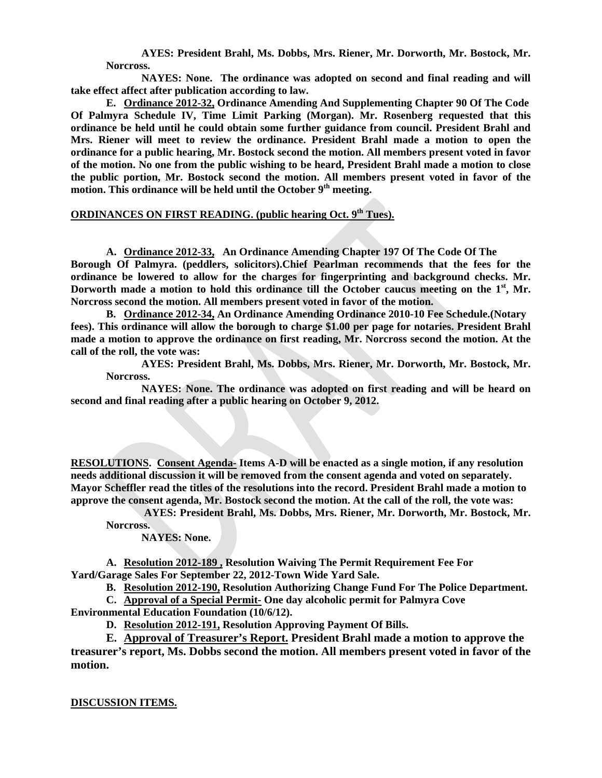**AYES: President Brahl, Ms. Dobbs, Mrs. Riener, Mr. Dorworth, Mr. Bostock, Mr. Norcross.** 

 **NAYES: None. The ordinance was adopted on second and final reading and will take effect affect after publication according to law.** 

**E. Ordinance 2012-32, Ordinance Amending And Supplementing Chapter 90 Of The Code Of Palmyra Schedule IV, Time Limit Parking (Morgan). Mr. Rosenberg requested that this ordinance be held until he could obtain some further guidance from council. President Brahl and Mrs. Riener will meet to review the ordinance. President Brahl made a motion to open the ordinance for a public hearing, Mr. Bostock second the motion. All members present voted in favor of the motion. No one from the public wishing to be heard, President Brahl made a motion to close the public portion, Mr. Bostock second the motion. All members present voted in favor of the motion. This ordinance will be held until the October 9th meeting.** 

## **ORDINANCES ON FIRST READING. (public hearing Oct. 9th Tues).**

**A. Ordinance 2012-33, An Ordinance Amending Chapter 197 Of The Code Of The Borough Of Palmyra. (peddlers, solicitors).Chief Pearlman recommends that the fees for the ordinance be lowered to allow for the charges for fingerprinting and background checks. Mr. Dorworth made a motion to hold this ordinance till the October caucus meeting on the 1st, Mr. Norcross second the motion. All members present voted in favor of the motion.** 

**B. Ordinance 2012-34, An Ordinance Amending Ordinance 2010-10 Fee Schedule.(Notary fees). This ordinance will allow the borough to charge \$1.00 per page for notaries. President Brahl made a motion to approve the ordinance on first reading, Mr. Norcross second the motion. At the call of the roll, the vote was:** 

**AYES: President Brahl, Ms. Dobbs, Mrs. Riener, Mr. Dorworth, Mr. Bostock, Mr. Norcross.** 

 **NAYES: None. The ordinance was adopted on first reading and will be heard on second and final reading after a public hearing on October 9, 2012.** 

**RESOLUTIONS. Consent Agenda- Items A-D will be enacted as a single motion, if any resolution needs additional discussion it will be removed from the consent agenda and voted on separately. Mayor Scheffler read the titles of the resolutions into the record. President Brahl made a motion to approve the consent agenda, Mr. Bostock second the motion. At the call of the roll, the vote was:** 

 **AYES: President Brahl, Ms. Dobbs, Mrs. Riener, Mr. Dorworth, Mr. Bostock, Mr. Norcross.** 

## **NAYES: None.**

**A. Resolution 2012-189 , Resolution Waiving The Permit Requirement Fee For Yard/Garage Sales For September 22, 2012-Town Wide Yard Sale.** 

**B. Resolution 2012-190, Resolution Authorizing Change Fund For The Police Department.** 

**C. Approval of a Special Permit- One day alcoholic permit for Palmyra Cove Environmental Education Foundation (10/6/12).** 

**D. Resolution 2012-191, Resolution Approving Payment Of Bills.** 

**E. Approval of Treasurer's Report. President Brahl made a motion to approve the treasurer's report, Ms. Dobbs second the motion. All members present voted in favor of the motion.** 

## **DISCUSSION ITEMS.**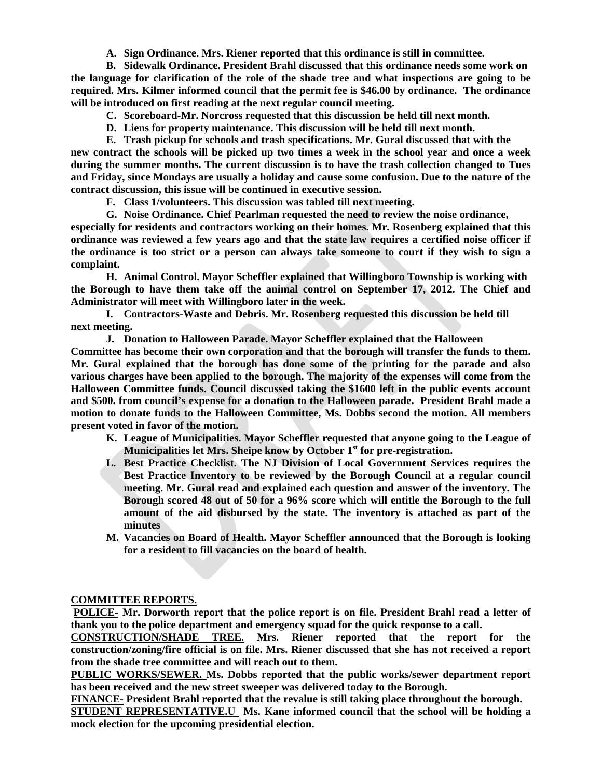**A. Sign Ordinance. Mrs. Riener reported that this ordinance is still in committee.** 

**B. Sidewalk Ordinance. President Brahl discussed that this ordinance needs some work on the language for clarification of the role of the shade tree and what inspections are going to be required. Mrs. Kilmer informed council that the permit fee is \$46.00 by ordinance. The ordinance will be introduced on first reading at the next regular council meeting.** 

**C. Scoreboard-Mr. Norcross requested that this discussion be held till next month.** 

**D. Liens for property maintenance. This discussion will be held till next month.** 

**E. Trash pickup for schools and trash specifications. Mr. Gural discussed that with the new contract the schools will be picked up two times a week in the school year and once a week during the summer months. The current discussion is to have the trash collection changed to Tues and Friday, since Mondays are usually a holiday and cause some confusion. Due to the nature of the contract discussion, this issue will be continued in executive session.** 

**F. Class 1/volunteers. This discussion was tabled till next meeting.** 

**G. Noise Ordinance. Chief Pearlman requested the need to review the noise ordinance, especially for residents and contractors working on their homes. Mr. Rosenberg explained that this ordinance was reviewed a few years ago and that the state law requires a certified noise officer if the ordinance is too strict or a person can always take someone to court if they wish to sign a complaint.** 

**H. Animal Control. Mayor Scheffler explained that Willingboro Township is working with the Borough to have them take off the animal control on September 17, 2012. The Chief and Administrator will meet with Willingboro later in the week.** 

**I. Contractors-Waste and Debris. Mr. Rosenberg requested this discussion be held till next meeting.** 

**J. Donation to Halloween Parade. Mayor Scheffler explained that the Halloween** 

**Committee has become their own corporation and that the borough will transfer the funds to them. Mr. Gural explained that the borough has done some of the printing for the parade and also various charges have been applied to the borough. The majority of the expenses will come from the Halloween Committee funds. Council discussed taking the \$1600 left in the public events account and \$500. from council's expense for a donation to the Halloween parade. President Brahl made a motion to donate funds to the Halloween Committee, Ms. Dobbs second the motion. All members present voted in favor of the motion.** 

- **K. League of Municipalities. Mayor Scheffler requested that anyone going to the League of Municipalities let Mrs. Sheipe know by October 1st for pre-registration.**
- **L. Best Practice Checklist. The NJ Division of Local Government Services requires the Best Practice Inventory to be reviewed by the Borough Council at a regular council meeting. Mr. Gural read and explained each question and answer of the inventory. The Borough scored 48 out of 50 for a 96% score which will entitle the Borough to the full amount of the aid disbursed by the state. The inventory is attached as part of the minutes**
- **M. Vacancies on Board of Health. Mayor Scheffler announced that the Borough is looking for a resident to fill vacancies on the board of health.**

# **COMMITTEE REPORTS.**

**POLICE- Mr. Dorworth report that the police report is on file. President Brahl read a letter of thank you to the police department and emergency squad for the quick response to a call.** 

**CONSTRUCTION/SHADE TREE. Mrs. Riener reported that the report for the construction/zoning/fire official is on file. Mrs. Riener discussed that she has not received a report from the shade tree committee and will reach out to them.** 

**PUBLIC WORKS/SEWER. Ms. Dobbs reported that the public works/sewer department report has been received and the new street sweeper was delivered today to the Borough.** 

**FINANCE- President Brahl reported that the revalue is still taking place throughout the borough.** 

**STUDENT REPRESENTATIVE.U Ms. Kane informed council that the school will be holding a mock election for the upcoming presidential election.**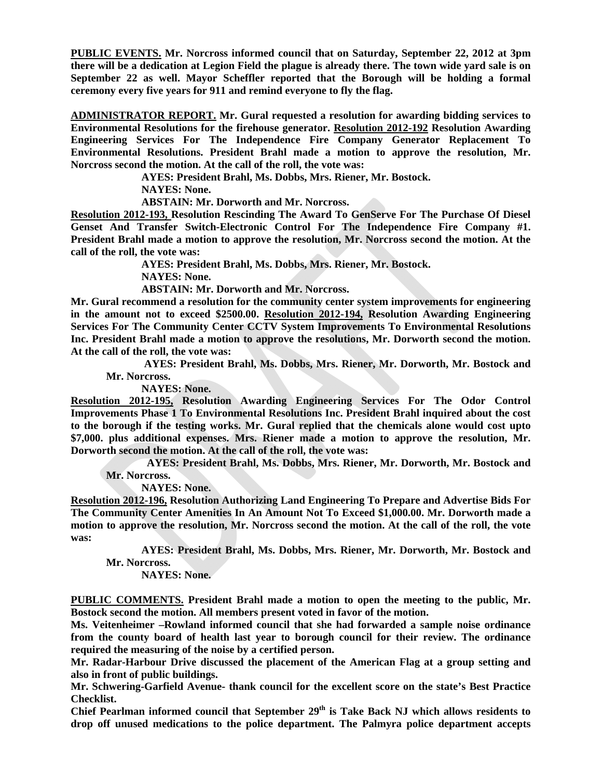**PUBLIC EVENTS. Mr. Norcross informed council that on Saturday, September 22, 2012 at 3pm there will be a dedication at Legion Field the plague is already there. The town wide yard sale is on September 22 as well. Mayor Scheffler reported that the Borough will be holding a formal ceremony every five years for 911 and remind everyone to fly the flag.** 

**ADMINISTRATOR REPORT. Mr. Gural requested a resolution for awarding bidding services to Environmental Resolutions for the firehouse generator. Resolution 2012-192 Resolution Awarding Engineering Services For The Independence Fire Company Generator Replacement To Environmental Resolutions. President Brahl made a motion to approve the resolution, Mr. Norcross second the motion. At the call of the roll, the vote was:** 

**AYES: President Brahl, Ms. Dobbs, Mrs. Riener, Mr. Bostock.** 

 **NAYES: None.** 

 **ABSTAIN: Mr. Dorworth and Mr. Norcross.** 

**Resolution 2012-193, Resolution Rescinding The Award To GenServe For The Purchase Of Diesel Genset And Transfer Switch-Electronic Control For The Independence Fire Company #1. President Brahl made a motion to approve the resolution, Mr. Norcross second the motion. At the call of the roll, the vote was:** 

**AYES: President Brahl, Ms. Dobbs, Mrs. Riener, Mr. Bostock.** 

 **NAYES: None.** 

 **ABSTAIN: Mr. Dorworth and Mr. Norcross.** 

**Mr. Gural recommend a resolution for the community center system improvements for engineering in the amount not to exceed \$2500.00. Resolution 2012-194, Resolution Awarding Engineering Services For The Community Center CCTV System Improvements To Environmental Resolutions Inc. President Brahl made a motion to approve the resolutions, Mr. Dorworth second the motion. At the call of the roll, the vote was:** 

 **AYES: President Brahl, Ms. Dobbs, Mrs. Riener, Mr. Dorworth, Mr. Bostock and Mr. Norcross.** 

 **NAYES: None.** 

**Resolution 2012-195, Resolution Awarding Engineering Services For The Odor Control Improvements Phase 1 To Environmental Resolutions Inc. President Brahl inquired about the cost to the borough if the testing works. Mr. Gural replied that the chemicals alone would cost upto \$7,000. plus additional expenses. Mrs. Riener made a motion to approve the resolution, Mr. Dorworth second the motion. At the call of the roll, the vote was:** 

 **AYES: President Brahl, Ms. Dobbs, Mrs. Riener, Mr. Dorworth, Mr. Bostock and Mr. Norcross.** 

 **NAYES: None.** 

**Resolution 2012-196, Resolution Authorizing Land Engineering To Prepare and Advertise Bids For The Community Center Amenities In An Amount Not To Exceed \$1,000.00. Mr. Dorworth made a motion to approve the resolution, Mr. Norcross second the motion. At the call of the roll, the vote was:** 

**AYES: President Brahl, Ms. Dobbs, Mrs. Riener, Mr. Dorworth, Mr. Bostock and Mr. Norcross.** 

 **NAYES: None.** 

**PUBLIC COMMENTS. President Brahl made a motion to open the meeting to the public, Mr. Bostock second the motion. All members present voted in favor of the motion.** 

**Ms. Veitenheimer –Rowland informed council that she had forwarded a sample noise ordinance from the county board of health last year to borough council for their review. The ordinance required the measuring of the noise by a certified person.** 

**Mr. Radar-Harbour Drive discussed the placement of the American Flag at a group setting and also in front of public buildings.** 

**Mr. Schwering-Garfield Avenue- thank council for the excellent score on the state's Best Practice Checklist.** 

**Chief Pearlman informed council that September 29th is Take Back NJ which allows residents to drop off unused medications to the police department. The Palmyra police department accepts**